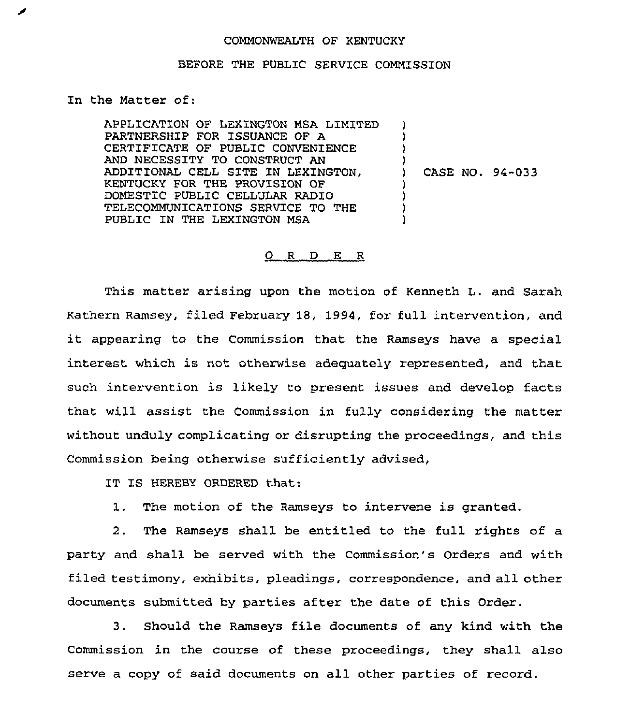## COMMONWEALTH OF KENTUCKY

## BEFORE THE PUBLIC SERVICE COMMISSION

In the Matter of:

APPLICATION OF LEXINGTON MSA LIMITED PARTNERSHIP FOR ISSUANCE OF A CERTIFICATE OF PUBLIC CONVENIENCE AND NECESSITY TO CONSTRUCT AN ADDITIONAL CELL SITE IN LEXINGTON, KENTUCKY FOR THE PROVISION OP DOMESTIC PUBLIC CELLULAR RADIO TELECOMMUNICATIONS SERVICE TO THE PUBLIC IN THE LEXINGTON MSA ) ) )  $\mathbf{I}$ ) CASE NO. 94-033 ) ) )  $\cdot$ 

## 0 R <sup>D</sup> E <sup>R</sup>

This matter ax'ising upon the motion of Kenneth L. and Sarah Kathexn Ramsey, filed Febxuary 18, 1994, for full intervention, and it appearing to the Commission that the Ramseys have <sup>a</sup> special interest which is not otherwise adequately represented, and that such intervention is likely to present issues and develop facts that will assist the Commission in fully considering the matter without unduly complicating or disrupting the pxoceedings, and this Commission being otherwise sufficiently advised,

IT IS HEREBY ORDERED that:

1. The motion of the Ramseys to intervene is granted.

2. The Ramseys shall be entitled to the full rights of a party and shall be served with the Commission's Orders and with filed testimony, exhibits, pleadings, correspondence, and all other documents submitted by parties after the date of this Order.

3. Should the Ramseys file documents of any kind with the Commission in the course of these proceedings, they shall also serve a copy of said documents on all other parties of record.